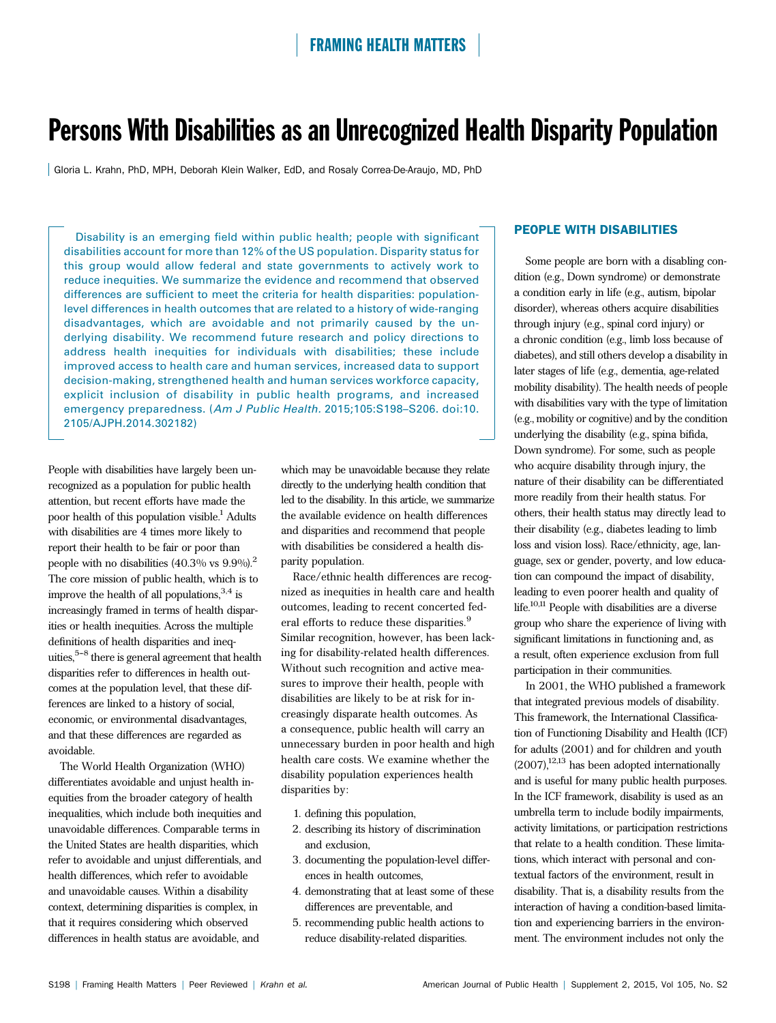# Persons With Disabilities as an Unrecognized Health Disparity Population

Gloria L. Krahn, PhD, MPH, Deborah Klein Walker, EdD, and Rosaly Correa-De-Araujo, MD, PhD

Disability is an emerging field within public health; people with significant disabilities account for more than 12% of the US population. Disparity status for this group would allow federal and state governments to actively work to reduce inequities. We summarize the evidence and recommend that observed differences are sufficient to meet the criteria for health disparities: populationlevel differences in health outcomes that are related to a history of wide-ranging disadvantages, which are avoidable and not primarily caused by the underlying disability. We recommend future research and policy directions to address health inequities for individuals with disabilities; these include improved access to health care and human services, increased data to support decision-making, strengthened health and human services workforce capacity, explicit inclusion of disability in public health programs, and increased emergency preparedness. (Am J Public Health. 2015;105:S198–S206. doi:10. 2105/AJPH.2014.302182)

People with disabilities have largely been unrecognized as a population for public health attention, but recent efforts have made the poor health of this population visible.<sup>1</sup> Adults with disabilities are 4 times more likely to report their health to be fair or poor than people with no disabilities  $(40.3\% \text{ vs } 9.9\%)$ .<sup>2</sup> The core mission of public health, which is to improve the health of all populations,  $3,4$  is increasingly framed in terms of health disparities or health inequities. Across the multiple definitions of health disparities and inequities,  $5-8$  there is general agreement that health disparities refer to differences in health outcomes at the population level, that these differences are linked to a history of social, economic, or environmental disadvantages, and that these differences are regarded as avoidable.

The World Health Organization (WHO) differentiates avoidable and unjust health inequities from the broader category of health inequalities, which include both inequities and unavoidable differences. Comparable terms in the United States are health disparities, which refer to avoidable and unjust differentials, and health differences, which refer to avoidable and unavoidable causes. Within a disability context, determining disparities is complex, in that it requires considering which observed differences in health status are avoidable, and

which may be unavoidable because they relate directly to the underlying health condition that led to the disability. In this article, we summarize the available evidence on health differences and disparities and recommend that people with disabilities be considered a health disparity population.

Race/ethnic health differences are recognized as inequities in health care and health outcomes, leading to recent concerted federal efforts to reduce these disparities.<sup>9</sup> Similar recognition, however, has been lacking for disability-related health differences. Without such recognition and active measures to improve their health, people with disabilities are likely to be at risk for increasingly disparate health outcomes. As a consequence, public health will carry an unnecessary burden in poor health and high health care costs. We examine whether the disability population experiences health disparities by:

- 1. defining this population,
- 2. describing its history of discrimination and exclusion,
- 3. documenting the population-level differences in health outcomes,
- 4. demonstrating that at least some of these differences are preventable, and
- 5. recommending public health actions to reduce disability-related disparities.

## PEOPLE WITH DISABILITIES

Some people are born with a disabling condition (e.g., Down syndrome) or demonstrate a condition early in life (e.g., autism, bipolar disorder), whereas others acquire disabilities through injury (e.g., spinal cord injury) or a chronic condition (e.g., limb loss because of diabetes), and still others develop a disability in later stages of life (e.g., dementia, age-related mobility disability). The health needs of people with disabilities vary with the type of limitation (e.g., mobility or cognitive) and by the condition underlying the disability (e.g., spina bifida, Down syndrome). For some, such as people who acquire disability through injury, the nature of their disability can be differentiated more readily from their health status. For others, their health status may directly lead to their disability (e.g., diabetes leading to limb loss and vision loss). Race/ethnicity, age, language, sex or gender, poverty, and low education can compound the impact of disability, leading to even poorer health and quality of life.<sup>10,11</sup> People with disabilities are a diverse group who share the experience of living with significant limitations in functioning and, as a result, often experience exclusion from full participation in their communities.

In 2001, the WHO published a framework that integrated previous models of disability. This framework, the International Classification of Functioning Disability and Health (ICF) for adults (2001) and for children and youth  $(2007)$ ,<sup>12,13</sup> has been adopted internationally and is useful for many public health purposes. In the ICF framework, disability is used as an umbrella term to include bodily impairments, activity limitations, or participation restrictions that relate to a health condition. These limitations, which interact with personal and contextual factors of the environment, result in disability. That is, a disability results from the interaction of having a condition-based limitation and experiencing barriers in the environment. The environment includes not only the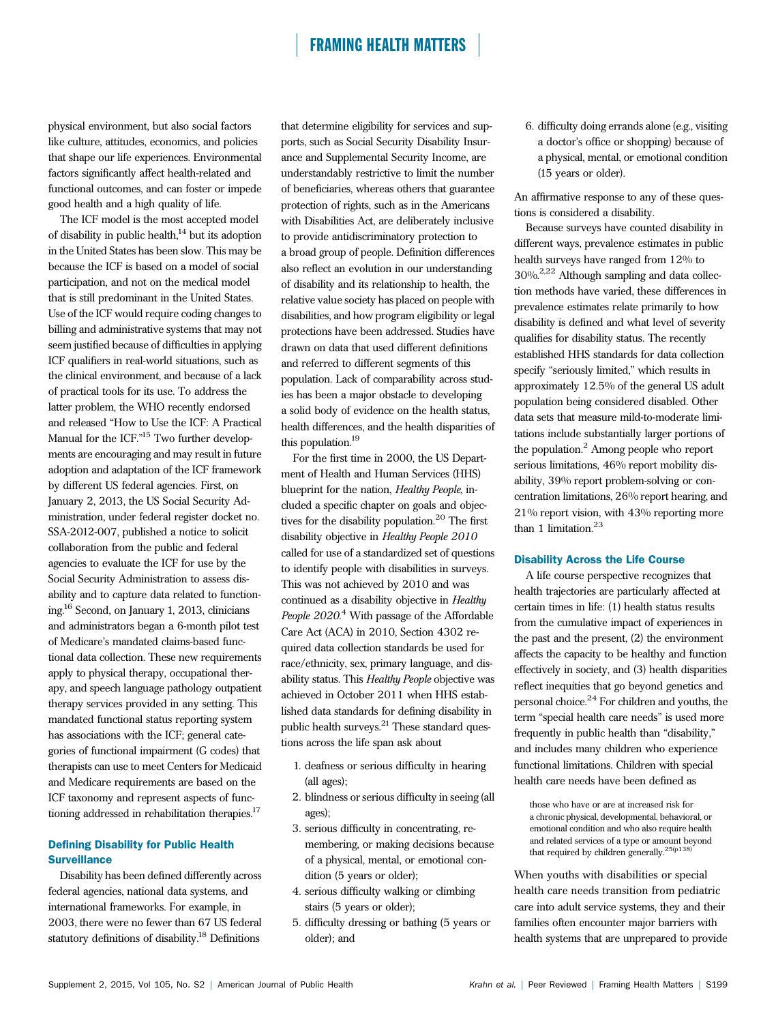physical environment, but also social factors like culture, attitudes, economics, and policies that shape our life experiences. Environmental factors significantly affect health-related and functional outcomes, and can foster or impede good health and a high quality of life.

The ICF model is the most accepted model of disability in public health, $^{14}$  but its adoption in the United States has been slow. This may be because the ICF is based on a model of social participation, and not on the medical model that is still predominant in the United States. Use of the ICF would require coding changes to billing and administrative systems that may not seem justified because of difficulties in applying ICF qualifiers in real-world situations, such as the clinical environment, and because of a lack of practical tools for its use. To address the latter problem, the WHO recently endorsed and released "How to Use the ICF: A Practical Manual for the ICF."<sup>15</sup> Two further developments are encouraging and may result in future adoption and adaptation of the ICF framework by different US federal agencies. First, on January 2, 2013, the US Social Security Administration, under federal register docket no. SSA-2012-007, published a notice to solicit collaboration from the public and federal agencies to evaluate the ICF for use by the Social Security Administration to assess disability and to capture data related to functioning.16 Second, on January 1, 2013, clinicians and administrators began a 6-month pilot test of Medicare's mandated claims-based functional data collection. These new requirements apply to physical therapy, occupational therapy, and speech language pathology outpatient therapy services provided in any setting. This mandated functional status reporting system has associations with the ICF; general categories of functional impairment (G codes) that therapists can use to meet Centers for Medicaid and Medicare requirements are based on the ICF taxonomy and represent aspects of functioning addressed in rehabilitation therapies.<sup>17</sup>

#### Defining Disability for Public Health **Surveillance**

Disability has been defined differently across federal agencies, national data systems, and international frameworks. For example, in 2003, there were no fewer than 67 US federal statutory definitions of disability.18 Definitions

that determine eligibility for services and supports, such as Social Security Disability Insurance and Supplemental Security Income, are understandably restrictive to limit the number of beneficiaries, whereas others that guarantee protection of rights, such as in the Americans with Disabilities Act, are deliberately inclusive to provide antidiscriminatory protection to a broad group of people. Definition differences also reflect an evolution in our understanding of disability and its relationship to health, the relative value society has placed on people with disabilities, and how program eligibility or legal protections have been addressed. Studies have drawn on data that used different definitions and referred to different segments of this population. Lack of comparability across studies has been a major obstacle to developing a solid body of evidence on the health status, health differences, and the health disparities of this population.19

For the first time in 2000, the US Department of Health and Human Services (HHS) blueprint for the nation, Healthy People, included a specific chapter on goals and objectives for the disability population.<sup>20</sup> The first disability objective in Healthy People 2010 called for use of a standardized set of questions to identify people with disabilities in surveys. This was not achieved by 2010 and was continued as a disability objective in Healthy People 2020.<sup>4</sup> With passage of the Affordable Care Act (ACA) in 2010, Section 4302 required data collection standards be used for race/ethnicity, sex, primary language, and disability status. This Healthy People objective was achieved in October 2011 when HHS established data standards for defining disability in public health surveys. $^{21}$  These standard questions across the life span ask about

- 1. deafness or serious difficulty in hearing (all ages);
- 2. blindness or serious difficulty in seeing (all ages);
- 3. serious difficulty in concentrating, remembering, or making decisions because of a physical, mental, or emotional condition (5 years or older);
- 4. serious difficulty walking or climbing stairs (5 years or older);
- 5. difficulty dressing or bathing (5 years or older); and

6. difficulty doing errands alone (e.g., visiting a doctor's office or shopping) because of a physical, mental, or emotional condition (15 years or older).

An affirmative response to any of these questions is considered a disability.

Because surveys have counted disability in different ways, prevalence estimates in public health surveys have ranged from 12% to 30%.2,22 Although sampling and data collection methods have varied, these differences in prevalence estimates relate primarily to how disability is defined and what level of severity qualifies for disability status. The recently established HHS standards for data collection specify "seriously limited," which results in approximately 12.5% of the general US adult population being considered disabled. Other data sets that measure mild-to-moderate limitations include substantially larger portions of the population.<sup>2</sup> Among people who report serious limitations, 46% report mobility disability, 39% report problem-solving or concentration limitations, 26% report hearing, and 21% report vision, with 43% reporting more than 1 limitation. $23$ 

#### Disability Across the Life Course

A life course perspective recognizes that health trajectories are particularly affected at certain times in life: (1) health status results from the cumulative impact of experiences in the past and the present, (2) the environment affects the capacity to be healthy and function effectively in society, and (3) health disparities reflect inequities that go beyond genetics and personal choice.<sup>24</sup> For children and youths, the term "special health care needs" is used more frequently in public health than "disability," and includes many children who experience functional limitations. Children with special health care needs have been defined as

those who have or are at increased risk for a chronic physical, developmental, behavioral, or emotional condition and who also require health and related services of a type or amount beyond<br>that required by children generally.<sup>25(p138)</sup>

When youths with disabilities or special health care needs transition from pediatric care into adult service systems, they and their families often encounter major barriers with health systems that are unprepared to provide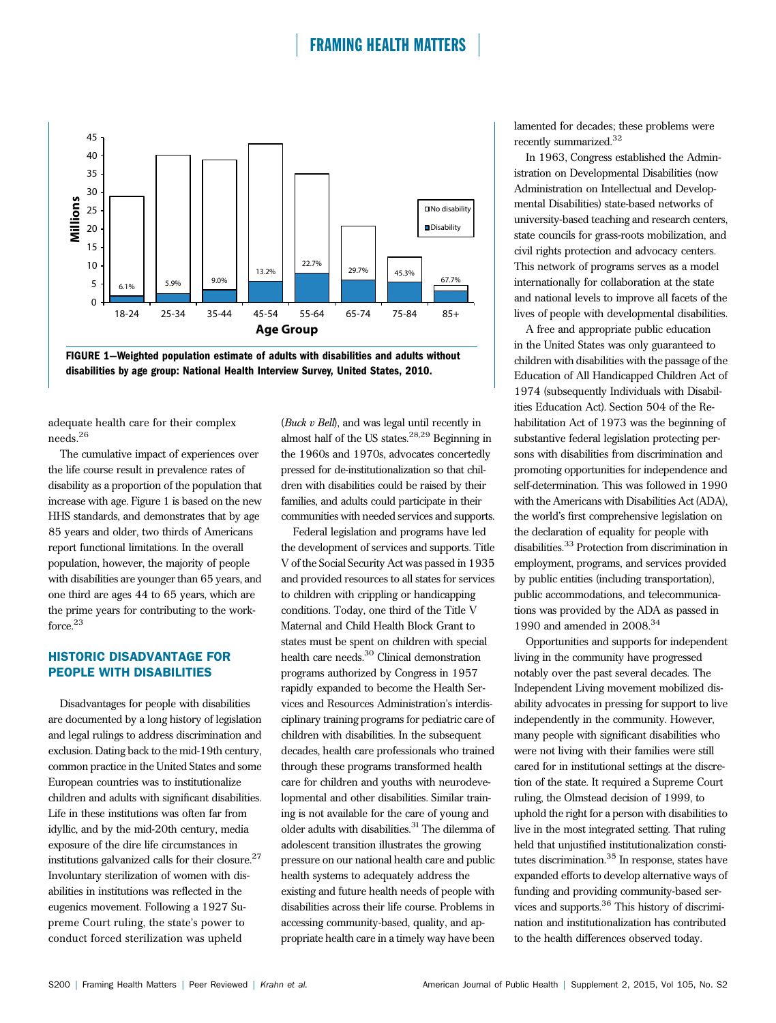



adequate health care for their complex needs.<sup>26</sup>

The cumulative impact of experiences over the life course result in prevalence rates of disability as a proportion of the population that increase with age. Figure 1 is based on the new HHS standards, and demonstrates that by age 85 years and older, two thirds of Americans report functional limitations. In the overall population, however, the majority of people with disabilities are younger than 65 years, and one third are ages 44 to 65 years, which are the prime years for contributing to the workforce.<sup>23</sup>

#### HISTORIC DISADVANTAGE FOR PEOPLE WITH DISABILITIES

Disadvantages for people with disabilities are documented by a long history of legislation and legal rulings to address discrimination and exclusion. Dating back to the mid-19th century, common practice in the United States and some European countries was to institutionalize children and adults with significant disabilities. Life in these institutions was often far from idyllic, and by the mid-20th century, media exposure of the dire life circumstances in institutions galvanized calls for their closure.<sup>27</sup> Involuntary sterilization of women with disabilities in institutions was reflected in the eugenics movement. Following a 1927 Supreme Court ruling, the state's power to conduct forced sterilization was upheld

(Buck v Bell), and was legal until recently in almost half of the US states.28,29 Beginning in the 1960s and 1970s, advocates concertedly pressed for de-institutionalization so that children with disabilities could be raised by their families, and adults could participate in their communities with needed services and supports.

Federal legislation and programs have led the development of services and supports. Title V of the Social Security Act was passed in 1935 and provided resources to all states for services to children with crippling or handicapping conditions. Today, one third of the Title V Maternal and Child Health Block Grant to states must be spent on children with special health care needs.<sup>30</sup> Clinical demonstration programs authorized by Congress in 1957 rapidly expanded to become the Health Services and Resources Administration's interdisciplinary training programs for pediatric care of children with disabilities. In the subsequent decades, health care professionals who trained through these programs transformed health care for children and youths with neurodevelopmental and other disabilities. Similar training is not available for the care of young and older adults with disabilities.<sup>31</sup> The dilemma of adolescent transition illustrates the growing pressure on our national health care and public health systems to adequately address the existing and future health needs of people with disabilities across their life course. Problems in accessing community-based, quality, and appropriate health care in a timely way have been

lamented for decades; these problems were recently summarized.<sup>32</sup>

In 1963, Congress established the Administration on Developmental Disabilities (now Administration on Intellectual and Developmental Disabilities) state-based networks of university-based teaching and research centers, state councils for grass-roots mobilization, and civil rights protection and advocacy centers. This network of programs serves as a model internationally for collaboration at the state and national levels to improve all facets of the lives of people with developmental disabilities.

A free and appropriate public education in the United States was only guaranteed to children with disabilities with the passage of the Education of All Handicapped Children Act of 1974 (subsequently Individuals with Disabilities Education Act). Section 504 of the Rehabilitation Act of 1973 was the beginning of substantive federal legislation protecting persons with disabilities from discrimination and promoting opportunities for independence and self-determination. This was followed in 1990 with the Americans with Disabilities Act (ADA), the world's first comprehensive legislation on the declaration of equality for people with disabilities.<sup>33</sup> Protection from discrimination in employment, programs, and services provided by public entities (including transportation), public accommodations, and telecommunications was provided by the ADA as passed in 1990 and amended in  $2008.<sup>34</sup>$ 

Opportunities and supports for independent living in the community have progressed notably over the past several decades. The Independent Living movement mobilized disability advocates in pressing for support to live independently in the community. However, many people with significant disabilities who were not living with their families were still cared for in institutional settings at the discretion of the state. It required a Supreme Court ruling, the Olmstead decision of 1999, to uphold the right for a person with disabilities to live in the most integrated setting. That ruling held that unjustified institutionalization constitutes discrimination.<sup>35</sup> In response, states have expanded efforts to develop alternative ways of funding and providing community-based services and supports.<sup>36</sup> This history of discrimination and institutionalization has contributed to the health differences observed today.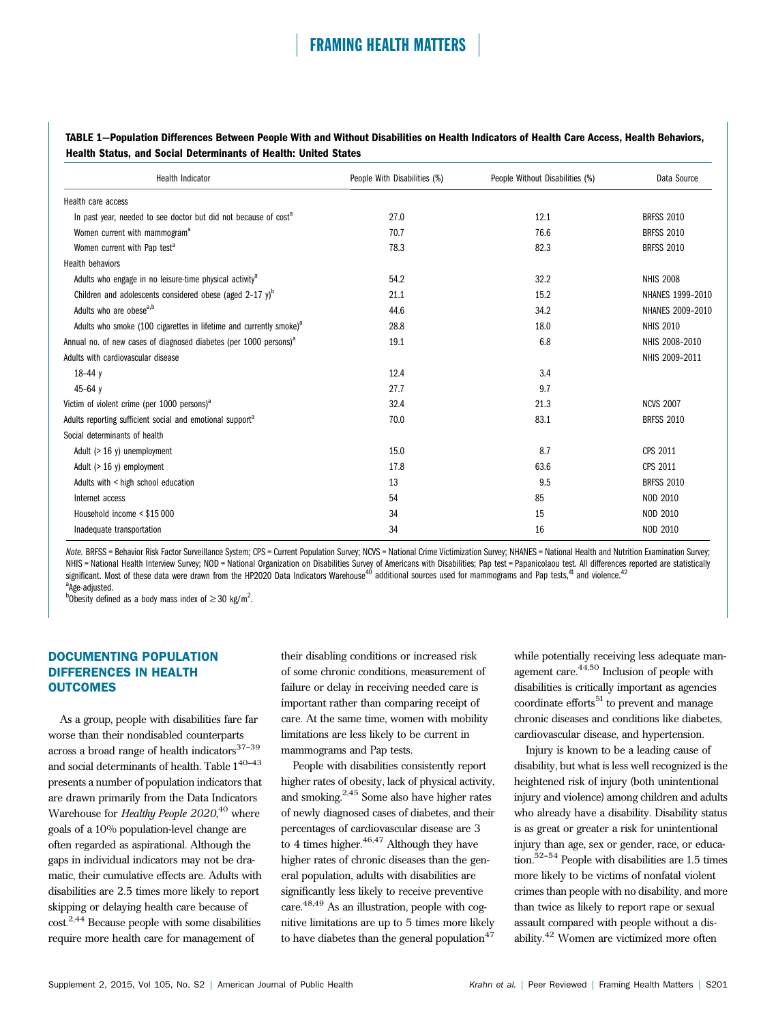#### TABLE 1—Population Differences Between People With and Without Disabilities on Health Indicators of Health Care Access, Health Behaviors, Health Status, and Social Determinants of Health: United States

| <b>Health Indicator</b>                                                        | People With Disabilities (%) | People Without Disabilities (%) | Data Source       |
|--------------------------------------------------------------------------------|------------------------------|---------------------------------|-------------------|
| Health care access                                                             |                              |                                 |                   |
| In past year, needed to see doctor but did not because of cost <sup>a</sup>    | 27.0                         | 12.1                            | <b>BRFSS 2010</b> |
| Women current with mammogram <sup>a</sup>                                      | 70.7                         | 76.6                            | <b>BRFSS 2010</b> |
| Women current with Pap test <sup>a</sup>                                       | 78.3                         | 82.3                            | <b>BRFSS 2010</b> |
| <b>Health behaviors</b>                                                        |                              |                                 |                   |
| Adults who engage in no leisure-time physical activity <sup>a</sup>            | 54.2                         | 32.2                            | <b>NHIS 2008</b>  |
| Children and adolescents considered obese (aged $2-17$ y) <sup>b</sup>         | 21.1                         | 15.2                            | NHANES 1999-2010  |
| Adults who are obese <sup>a,b</sup>                                            | 44.6                         | 34.2                            | NHANES 2009-2010  |
| Adults who smoke (100 cigarettes in lifetime and currently smoke) <sup>a</sup> | 28.8                         | 18.0                            | <b>NHIS 2010</b>  |
| Annual no. of new cases of diagnosed diabetes (per 1000 persons) <sup>a</sup>  | 19.1                         | 6.8                             | NHIS 2008-2010    |
| Adults with cardiovascular disease                                             |                              |                                 | NHIS 2009-2011    |
| $18-44y$                                                                       | 12.4                         | 3.4                             |                   |
| $45 - 64y$                                                                     | 27.7                         | 9.7                             |                   |
| Victim of violent crime (per 1000 persons) <sup>a</sup>                        | 32.4                         | 21.3                            | <b>NCVS 2007</b>  |
| Adults reporting sufficient social and emotional support <sup>a</sup>          | 70.0                         | 83.1                            | <b>BRFSS 2010</b> |
| Social determinants of health                                                  |                              |                                 |                   |
| Adult $(>16 \text{ y})$ unemployment                                           | 15.0                         | 8.7                             | CPS 2011          |
| Adult $(>16 \text{ y})$ employment                                             | 17.8                         | 63.6                            | CPS 2011          |
| Adults with < high school education                                            | 13                           | 9.5                             | <b>BRFSS 2010</b> |
| Internet access                                                                | 54                           | 85                              | NOD 2010          |
| Household income < \$15 000                                                    | 34                           | 15                              | NOD 2010          |
| Inadequate transportation                                                      | 34                           | 16                              | NOD 2010          |

Note. BRFSS = Behavior Risk Factor Surveillance System; CPS = Current Population Survey; NCVS = National Crime Victimization Survey; NHANES = National Health and Nutrition Examination Survey; NHIS = National Health Interview Survey; NOD = National Organization on Disabilities Survey of Americans with Disabilities; Pap test = Papanicolaou test. All differences reported are statistically significant. Most of these data were drawn from the HP2020 Data Indicators Warehouse<sup>40</sup> additional sources used for mammograms and Pap tests,<sup>41</sup> and violence.<sup>42</sup> <sup>a</sup>Age-adjusted.

bobesity defined as a body mass index of  $\geq$  30 kg/m<sup>2</sup>.

### DOCUMENTING POPULATION DIFFERENCES IN HEALTH **OUTCOMES**

As a group, people with disabilities fare far worse than their nondisabled counterparts across a broad range of health indicators $37-39$ and social determinants of health. Table  $1^{40\hbox{-}43}$ presents a number of population indicators that are drawn primarily from the Data Indicators Warehouse for Healthy People 2020,<sup>40</sup> where goals of a 10% population-level change are often regarded as aspirational. Although the gaps in individual indicators may not be dramatic, their cumulative effects are. Adults with disabilities are 2.5 times more likely to report skipping or delaying health care because of cost.2,44 Because people with some disabilities require more health care for management of

their disabling conditions or increased risk of some chronic conditions, measurement of failure or delay in receiving needed care is important rather than comparing receipt of care. At the same time, women with mobility limitations are less likely to be current in mammograms and Pap tests.

People with disabilities consistently report higher rates of obesity, lack of physical activity, and smoking.2,45 Some also have higher rates of newly diagnosed cases of diabetes, and their percentages of cardiovascular disease are 3 to 4 times higher. $46,47$  Although they have higher rates of chronic diseases than the general population, adults with disabilities are significantly less likely to receive preventive care.48,49 As an illustration, people with cognitive limitations are up to 5 times more likely to have diabetes than the general population $47$ 

while potentially receiving less adequate management care.<sup>44,50</sup> Inclusion of people with disabilities is critically important as agencies coordinate efforts $51$  to prevent and manage chronic diseases and conditions like diabetes, cardiovascular disease, and hypertension.

Injury is known to be a leading cause of disability, but what is less well recognized is the heightened risk of injury (both unintentional injury and violence) among children and adults who already have a disability. Disability status is as great or greater a risk for unintentional injury than age, sex or gender, race, or education.<sup>52-54</sup> People with disabilities are  $1.5$  times more likely to be victims of nonfatal violent crimes than people with no disability, and more than twice as likely to report rape or sexual assault compared with people without a disability.<sup>42</sup> Women are victimized more often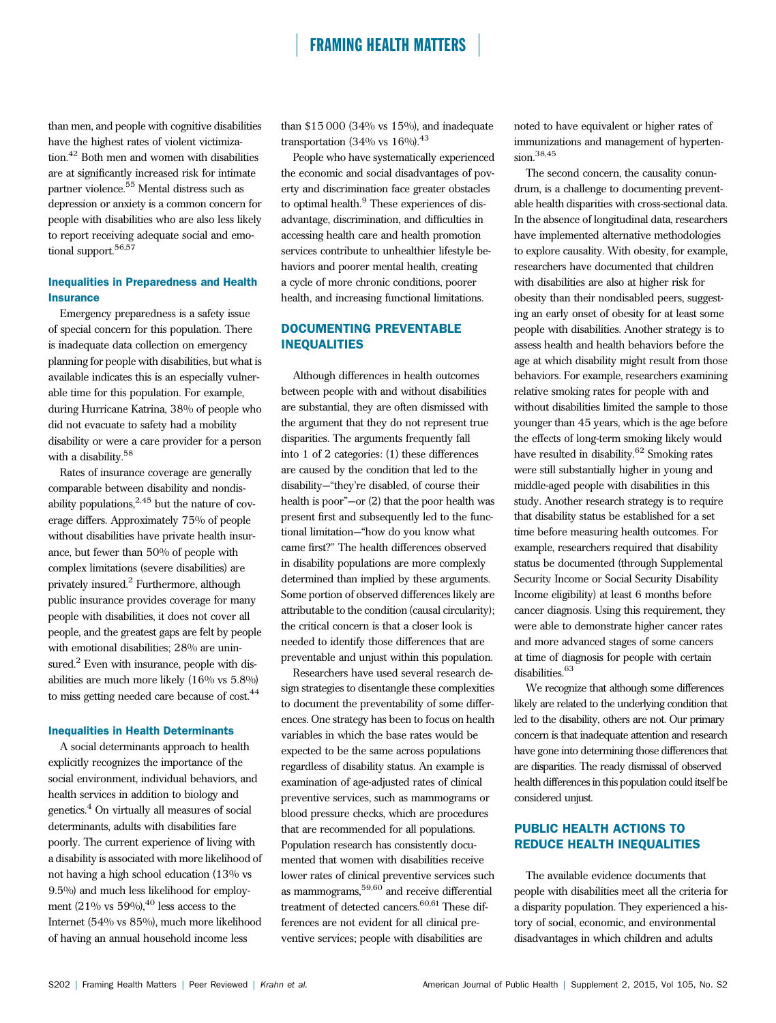than men, and people with cognitive disabilities have the highest rates of violent victimization.<sup>42</sup> Both men and women with disabilities are at significantly increased risk for intimate partner violence.<sup>55</sup> Mental distress such as depression or anxiety is a common concern for people with disabilities who are also less likely to report receiving adequate social and emotional support.<sup>56,57</sup>

#### Inequalities in Preparedness and Health **Insurance**

Emergency preparedness is a safety issue of special concern for this population. There is inadequate data collection on emergency planning for people with disabilities, but what is available indicates this is an especially vulnerable time for this population. For example, during Hurricane Katrina, 38% of people who did not evacuate to safety had a mobility disability or were a care provider for a person with a disability.<sup>58</sup>

Rates of insurance coverage are generally comparable between disability and nondisability populations,  $2.45$  but the nature of coverage differs. Approximately 75% of people without disabilities have private health insurance, but fewer than 50% of people with complex limitations (severe disabilities) are privately insured.<sup>2</sup> Furthermore, although public insurance provides coverage for many people with disabilities, it does not cover all people, and the greatest gaps are felt by people with emotional disabilities; 28% are uninsured.<sup>2</sup> Even with insurance, people with disabilities are much more likely (16% vs 5.8%) to miss getting needed care because of cost.<sup>44</sup>

#### Inequalities in Health Determinants

A social determinants approach to health explicitly recognizes the importance of the social environment, individual behaviors, and health services in addition to biology and genetics.<sup>4</sup> On virtually all measures of social determinants, adults with disabilities fare poorly. The current experience of living with a disability is associated with more likelihood of not having a high school education (13% vs 9.5%) and much less likelihood for employment  $(21\%$  vs  $59\%)$ , <sup>40</sup> less access to the Internet (54% vs 85%), much more likelihood of having an annual household income less

than  $$15\,000$  (34% vs  $15\%$ ), and inadequate transportation (34% vs  $16\%$ ).<sup>43</sup>

People who have systematically experienced the economic and social disadvantages of poverty and discrimination face greater obstacles to optimal health.<sup>9</sup> These experiences of disadvantage, discrimination, and difficulties in accessing health care and health promotion services contribute to unhealthier lifestyle behaviors and poorer mental health, creating a cycle of more chronic conditions, poorer health, and increasing functional limitations.

## DOCUMENTING PREVENTABLE INEQUALITIES

Although differences in health outcomes between people with and without disabilities are substantial, they are often dismissed with the argument that they do not represent true disparities. The arguments frequently fall into 1 of 2 categories: (1) these differences are caused by the condition that led to the disability—"they're disabled, of course their health is poor"—or (2) that the poor health was present first and subsequently led to the functional limitation—"how do you know what came first?" The health differences observed in disability populations are more complexly determined than implied by these arguments. Some portion of observed differences likely are attributable to the condition (causal circularity); the critical concern is that a closer look is needed to identify those differences that are preventable and unjust within this population.

Researchers have used several research design strategies to disentangle these complexities to document the preventability of some differences. One strategy has been to focus on health variables in which the base rates would be expected to be the same across populations regardless of disability status. An example is examination of age-adjusted rates of clinical preventive services, such as mammograms or blood pressure checks, which are procedures that are recommended for all populations. Population research has consistently documented that women with disabilities receive lower rates of clinical preventive services such as mammograms,59,60 and receive differential treatment of detected cancers.<sup>60,61</sup> These differences are not evident for all clinical preventive services; people with disabilities are

noted to have equivalent or higher rates of immunizations and management of hypertension.38,45

The second concern, the causality conundrum, is a challenge to documenting preventable health disparities with cross-sectional data. In the absence of longitudinal data, researchers have implemented alternative methodologies to explore causality. With obesity, for example, researchers have documented that children with disabilities are also at higher risk for obesity than their nondisabled peers, suggesting an early onset of obesity for at least some people with disabilities. Another strategy is to assess health and health behaviors before the age at which disability might result from those behaviors. For example, researchers examining relative smoking rates for people with and without disabilities limited the sample to those younger than 45 years, which is the age before the effects of long-term smoking likely would have resulted in disability.<sup>62</sup> Smoking rates were still substantially higher in young and middle-aged people with disabilities in this study. Another research strategy is to require that disability status be established for a set time before measuring health outcomes. For example, researchers required that disability status be documented (through Supplemental Security Income or Social Security Disability Income eligibility) at least 6 months before cancer diagnosis. Using this requirement, they were able to demonstrate higher cancer rates and more advanced stages of some cancers at time of diagnosis for people with certain disabilities.<sup>63</sup>

We recognize that although some differences likely are related to the underlying condition that led to the disability, others are not. Our primary concern is that inadequate attention and research have gone into determining those differences that are disparities. The ready dismissal of observed health differences in this population could itself be considered unjust.

### PUBLIC HEALTH ACTIONS TO REDUCE HEALTH INEQUALITIES

The available evidence documents that people with disabilities meet all the criteria for a disparity population. They experienced a history of social, economic, and environmental disadvantages in which children and adults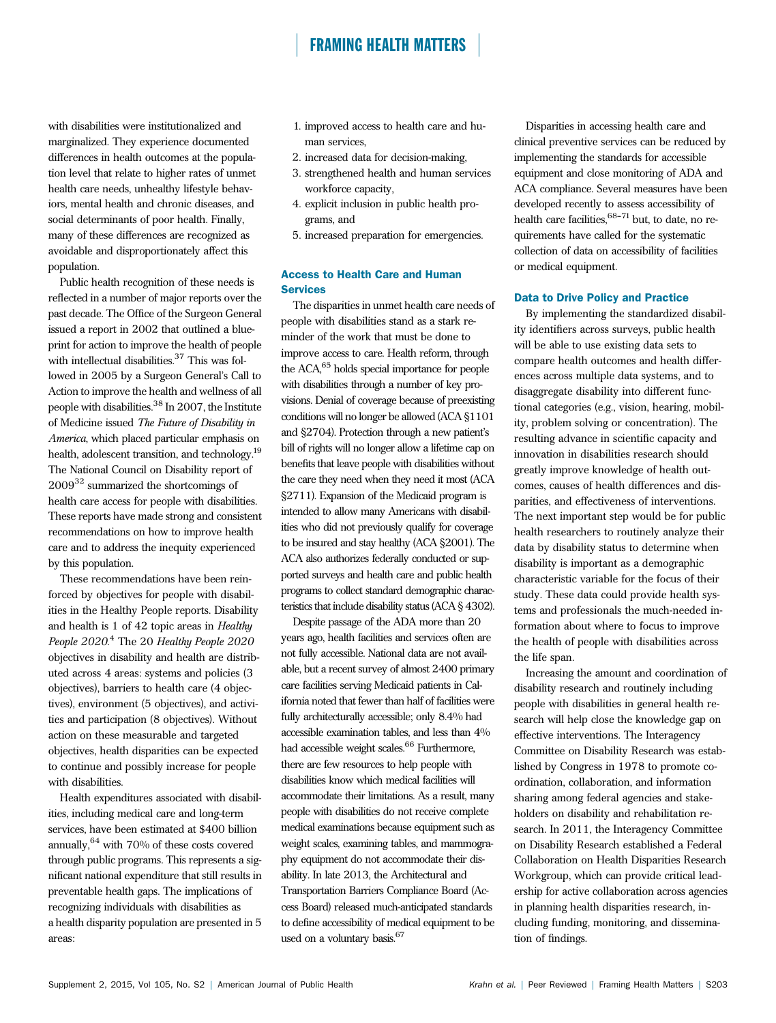with disabilities were institutionalized and marginalized. They experience documented differences in health outcomes at the population level that relate to higher rates of unmet health care needs, unhealthy lifestyle behaviors, mental health and chronic diseases, and social determinants of poor health. Finally, many of these differences are recognized as avoidable and disproportionately affect this population.

Public health recognition of these needs is reflected in a number of major reports over the past decade. The Office of the Surgeon General issued a report in 2002 that outlined a blueprint for action to improve the health of people with intellectual disabilities.<sup>37</sup> This was followed in 2005 by a Surgeon General's Call to Action to improve the health and wellness of all people with disabilities.<sup>38</sup> In 2007, the Institute of Medicine issued The Future of Disability in America, which placed particular emphasis on health, adolescent transition, and technology.19 The National Council on Disability report of 2009<sup>32</sup> summarized the shortcomings of health care access for people with disabilities. These reports have made strong and consistent recommendations on how to improve health care and to address the inequity experienced by this population.

These recommendations have been reinforced by objectives for people with disabilities in the Healthy People reports. Disability and health is 1 of 42 topic areas in Healthy People 2020.<sup>4</sup> The 20 Healthy People 2020 objectives in disability and health are distributed across 4 areas: systems and policies (3 objectives), barriers to health care (4 objectives), environment (5 objectives), and activities and participation (8 objectives). Without action on these measurable and targeted objectives, health disparities can be expected to continue and possibly increase for people with disabilities.

Health expenditures associated with disabilities, including medical care and long-term services, have been estimated at \$400 billion annually,  $64$  with  $70%$  of these costs covered through public programs. This represents a significant national expenditure that still results in preventable health gaps. The implications of recognizing individuals with disabilities as a health disparity population are presented in 5 areas:

- 1. improved access to health care and human services,
- 2. increased data for decision-making,
- 3. strengthened health and human services workforce capacity,
- 4. explicit inclusion in public health programs, and
- 5. increased preparation for emergencies.

### Access to Health Care and Human **Services**

The disparities in unmet health care needs of people with disabilities stand as a stark reminder of the work that must be done to improve access to care. Health reform, through the ACA,65 holds special importance for people with disabilities through a number of key provisions. Denial of coverage because of preexisting conditions will no longer be allowed (ACA §1101 and §2704). Protection through a new patient's bill of rights will no longer allow a lifetime cap on benefits that leave people with disabilities without the care they need when they need it most (ACA §2711). Expansion of the Medicaid program is intended to allow many Americans with disabilities who did not previously qualify for coverage to be insured and stay healthy (ACA §2001). The ACA also authorizes federally conducted or supported surveys and health care and public health programs to collect standard demographic characteristics that include disability status (ACA § 4302).

Despite passage of the ADA more than 20 years ago, health facilities and services often are not fully accessible. National data are not available, but a recent survey of almost 2400 primary care facilities serving Medicaid patients in California noted that fewer than half of facilities were fully architecturally accessible; only 8.4% had accessible examination tables, and less than 4% had accessible weight scales.<sup>66</sup> Furthermore, there are few resources to help people with disabilities know which medical facilities will accommodate their limitations. As a result, many people with disabilities do not receive complete medical examinations because equipment such as weight scales, examining tables, and mammography equipment do not accommodate their disability. In late 2013, the Architectural and Transportation Barriers Compliance Board (Access Board) released much-anticipated standards to define accessibility of medical equipment to be used on a voluntary basis.<sup>67</sup>

Disparities in accessing health care and clinical preventive services can be reduced by implementing the standards for accessible equipment and close monitoring of ADA and ACA compliance. Several measures have been developed recently to assess accessibility of health care facilities,  $68-71$  but, to date, no requirements have called for the systematic collection of data on accessibility of facilities or medical equipment.

#### Data to Drive Policy and Practice

By implementing the standardized disability identifiers across surveys, public health will be able to use existing data sets to compare health outcomes and health differences across multiple data systems, and to disaggregate disability into different functional categories (e.g., vision, hearing, mobility, problem solving or concentration). The resulting advance in scientific capacity and innovation in disabilities research should greatly improve knowledge of health outcomes, causes of health differences and disparities, and effectiveness of interventions. The next important step would be for public health researchers to routinely analyze their data by disability status to determine when disability is important as a demographic characteristic variable for the focus of their study. These data could provide health systems and professionals the much-needed information about where to focus to improve the health of people with disabilities across the life span.

Increasing the amount and coordination of disability research and routinely including people with disabilities in general health research will help close the knowledge gap on effective interventions. The Interagency Committee on Disability Research was established by Congress in 1978 to promote coordination, collaboration, and information sharing among federal agencies and stakeholders on disability and rehabilitation research. In 2011, the Interagency Committee on Disability Research established a Federal Collaboration on Health Disparities Research Workgroup, which can provide critical leadership for active collaboration across agencies in planning health disparities research, including funding, monitoring, and dissemination of findings.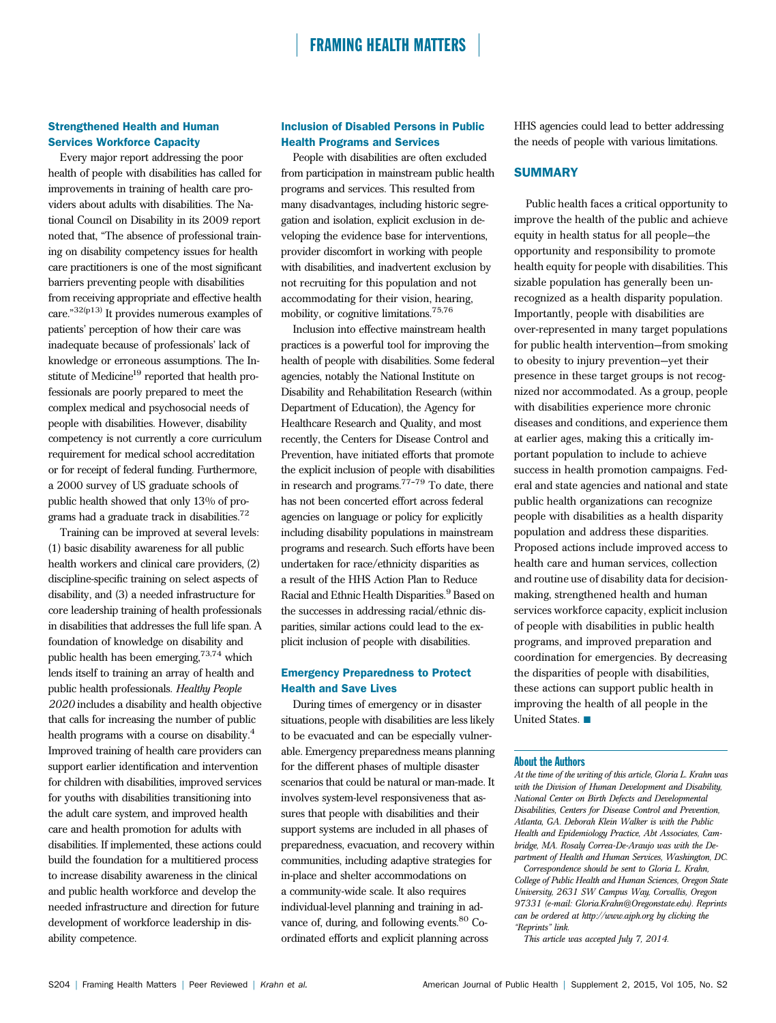### Strengthened Health and Human Services Workforce Capacity

Every major report addressing the poor health of people with disabilities has called for improvements in training of health care providers about adults with disabilities. The National Council on Disability in its 2009 report noted that, "The absence of professional training on disability competency issues for health care practitioners is one of the most significant barriers preventing people with disabilities from receiving appropriate and effective health care." 32(p13) It provides numerous examples of patients' perception of how their care was inadequate because of professionals' lack of knowledge or erroneous assumptions. The Institute of Medicine<sup>19</sup> reported that health professionals are poorly prepared to meet the complex medical and psychosocial needs of people with disabilities. However, disability competency is not currently a core curriculum requirement for medical school accreditation or for receipt of federal funding. Furthermore, a 2000 survey of US graduate schools of public health showed that only 13% of programs had a graduate track in disabilities.<sup>72</sup>

Training can be improved at several levels: (1) basic disability awareness for all public health workers and clinical care providers, (2) discipline-specific training on select aspects of disability, and (3) a needed infrastructure for core leadership training of health professionals in disabilities that addresses the full life span. A foundation of knowledge on disability and public health has been emerging,73,74 which lends itself to training an array of health and public health professionals. Healthy People 2020 includes a disability and health objective that calls for increasing the number of public health programs with a course on disability.<sup>4</sup> Improved training of health care providers can support earlier identification and intervention for children with disabilities, improved services for youths with disabilities transitioning into the adult care system, and improved health care and health promotion for adults with disabilities. If implemented, these actions could build the foundation for a multitiered process to increase disability awareness in the clinical and public health workforce and develop the needed infrastructure and direction for future development of workforce leadership in disability competence.

### Inclusion of Disabled Persons in Public Health Programs and Services

People with disabilities are often excluded from participation in mainstream public health programs and services. This resulted from many disadvantages, including historic segregation and isolation, explicit exclusion in developing the evidence base for interventions, provider discomfort in working with people with disabilities, and inadvertent exclusion by not recruiting for this population and not accommodating for their vision, hearing, mobility, or cognitive limitations.75,76

Inclusion into effective mainstream health practices is a powerful tool for improving the health of people with disabilities. Some federal agencies, notably the National Institute on Disability and Rehabilitation Research (within Department of Education), the Agency for Healthcare Research and Quality, and most recently, the Centers for Disease Control and Prevention, have initiated efforts that promote the explicit inclusion of people with disabilities in research and programs. $77-79$  To date, there has not been concerted effort across federal agencies on language or policy for explicitly including disability populations in mainstream programs and research. Such efforts have been undertaken for race/ethnicity disparities as a result of the HHS Action Plan to Reduce Racial and Ethnic Health Disparities.<sup>9</sup> Based on the successes in addressing racial/ethnic disparities, similar actions could lead to the explicit inclusion of people with disabilities.

#### Emergency Preparedness to Protect Health and Save Lives

During times of emergency or in disaster situations, people with disabilities are less likely to be evacuated and can be especially vulnerable. Emergency preparedness means planning for the different phases of multiple disaster scenarios that could be natural or man-made. It involves system-level responsiveness that assures that people with disabilities and their support systems are included in all phases of preparedness, evacuation, and recovery within communities, including adaptive strategies for in-place and shelter accommodations on a community-wide scale. It also requires individual-level planning and training in advance of, during, and following events.<sup>80</sup> Coordinated efforts and explicit planning across

HHS agencies could lead to better addressing the needs of people with various limitations.

#### **SUMMARY**

Public health faces a critical opportunity to improve the health of the public and achieve equity in health status for all people—the opportunity and responsibility to promote health equity for people with disabilities. This sizable population has generally been unrecognized as a health disparity population. Importantly, people with disabilities are over-represented in many target populations for public health intervention—from smoking to obesity to injury prevention—yet their presence in these target groups is not recognized nor accommodated. As a group, people with disabilities experience more chronic diseases and conditions, and experience them at earlier ages, making this a critically important population to include to achieve success in health promotion campaigns. Federal and state agencies and national and state public health organizations can recognize people with disabilities as a health disparity population and address these disparities. Proposed actions include improved access to health care and human services, collection and routine use of disability data for decisionmaking, strengthened health and human services workforce capacity, explicit inclusion of people with disabilities in public health programs, and improved preparation and coordination for emergencies. By decreasing the disparities of people with disabilities, these actions can support public health in improving the health of all people in the United States.

#### About the Authors

At the time of the writing of this article, Gloria L. Krahn was with the Division of Human Development and Disability, National Center on Birth Defects and Developmental Disabilities, Centers for Disease Control and Prevention, Atlanta, GA. Deborah Klein Walker is with the Public Health and Epidemiology Practice, Abt Associates, Cambridge, MA. Rosaly Correa-De-Araujo was with the Department of Health and Human Services, Washington, DC. Correspondence should be sent to Gloria L. Krahn, College of Public Health and Human Sciences, Oregon State University, 2631 SW Campus Way, Corvallis, Oregon 97331 (e-mail: [Gloria.Krahn@Oregonstate.edu](mailto:Gloria.Krahn@Oregonstate.edu)). Reprints can be ordered at http://www.ajph.org by clicking the "Reprints" link.

This article was accepted July 7, 2014.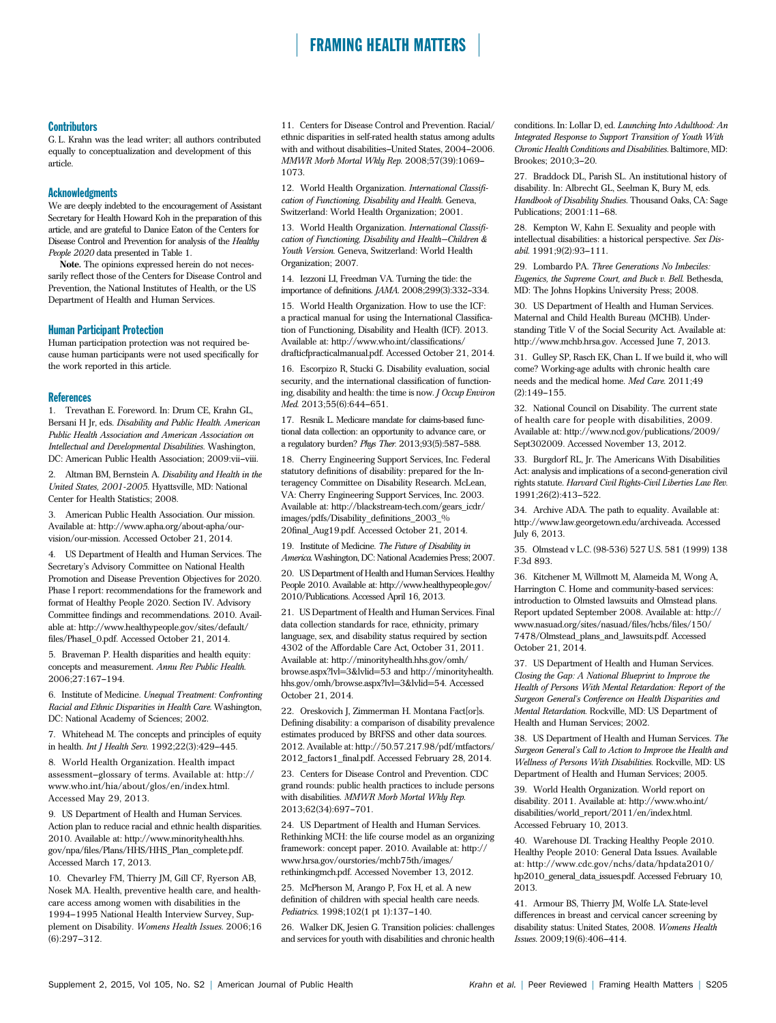#### **Contributors**

G. L. Krahn was the lead writer; all authors contributed equally to conceptualization and development of this article.

#### Acknowledgments

We are deeply indebted to the encouragement of Assistant Secretary for Health Howard Koh in the preparation of this article, and are grateful to Danice Eaton of the Centers for Disease Control and Prevention for analysis of the Healthy People 2020 data presented in Table 1.

Note. The opinions expressed herein do not necessarily reflect those of the Centers for Disease Control and Prevention, the National Institutes of Health, or the US Department of Health and Human Services.

#### Human Participant Protection

Human participation protection was not required because human participants were not used specifically for the work reported in this article.

#### References

1. Trevathan E. Foreword. In: Drum CE, Krahn GL, Bersani H Jr, eds. Disability and Public Health. American Public Health Association and American Association on Intellectual and Developmental Disabilities. Washington, DC: American Public Health Association; 2009:vii-viii.

2. Altman BM, Bernstein A. Disability and Health in the United States, 2001-2005. Hyattsville, MD: National Center for Health Statistics; 2008.

3. American Public Health Association. Our mission. Available at: [http://www.apha.org/about-apha/our](http://www.apha.org/about-apha/our-vision/our-mission)[vision/our-mission.](http://www.apha.org/about-apha/our-vision/our-mission) Accessed October 21, 2014.

4. US Department of Health and Human Services. The Secretary's Advisory Committee on National Health Promotion and Disease Prevention Objectives for 2020. Phase I report: recommendations for the framework and format of Healthy People 2020. Section IV. Advisory Committee findings and recommendations. 2010. Available at: [http://www.healthypeople.gov/sites/default/](http://www.healthypeople.gov/sites/default/files/PhaseI_0.pdf) fi[les/PhaseI\\_0.pdf.](http://www.healthypeople.gov/sites/default/files/PhaseI_0.pdf) Accessed October 21, 2014.

5. Braveman P. Health disparities and health equity: concepts and measurement. Annu Rev Public Health. 2006;27:167-194.

6. Institute of Medicine. Unequal Treatment: Confronting Racial and Ethnic Disparities in Health Care. Washington, DC: National Academy of Sciences; 2002.

7. Whitehead M. The concepts and principles of equity in health. Int J Health Serv.  $1992;22(3):429-445$ .

8. World Health Organization. Health impact assessment-glossary of terms. Available at: [http://](http://www.who.int/hia/about/glos/en/index.html) [www.who.int/hia/about/glos/en/index.html](http://www.who.int/hia/about/glos/en/index.html). Accessed May 29, 2013.

9. US Department of Health and Human Services. Action plan to reduce racial and ethnic health disparities. 2010. Available at: [http://www.minorityhealth.hhs.](http://www.minorityhealth.hhs.gov/npa/files/Plans/HHS/HHS_Plan_complete.pdf) gov/npa/fi[les/Plans/HHS/HHS\\_Plan\\_complete.pdf.](http://www.minorityhealth.hhs.gov/npa/files/Plans/HHS/HHS_Plan_complete.pdf) Accessed March 17, 2013.

10. Chevarley FM, Thierry JM, Gill CF, Ryerson AB, Nosek MA. Health, preventive health care, and healthcare access among women with disabilities in the 1994-1995 National Health Interview Survey, Supplement on Disability. Womens Health Issues. 2006;16  $(6):297-312.$ 

11. Centers for Disease Control and Prevention. Racial/ ethnic disparities in self-rated health status among adults with and without disabilities--United States, 2004-2006. MMWR Morb Mortal Wkly Rep. 2008;57(39):1069-1073.

12. World Health Organization. International Classification of Functioning, Disability and Health. Geneva, Switzerland: World Health Organization; 2001.

13. World Health Organization. International Classification of Functioning, Disability and Health—Children & Youth Version. Geneva, Switzerland: World Health Organization; 2007.

14. Iezzoni LI, Freedman VA. Turning the tide: the importance of definitions. *JAMA*. 2008;299(3):332-334.

15. World Health Organization. How to use the ICF: a practical manual for using the International Classification of Functioning, Disability and Health (ICF). 2013. Available at: [http://www.who.int/classi](http://www.who.int/classifications/drafticfpracticalmanual.pdf)fications/ [drafticfpracticalmanual.pdf](http://www.who.int/classifications/drafticfpracticalmanual.pdf). Accessed October 21, 2014.

16. Escorpizo R, Stucki G. Disability evaluation, social security, and the international classification of functioning, disability and health: the time is now. J Occup Environ Med. 2013;55(6):644-651.

17. Resnik L. Medicare mandate for claims-based functional data collection: an opportunity to advance care, or a regulatory burden? Phys Ther.  $2013;93(5):587-588$ .

18. Cherry Engineering Support Services, Inc. Federal statutory definitions of disability: prepared for the Interagency Committee on Disability Research. McLean, VA: Cherry Engineering Support Services, Inc. 2003. Available at: [http://blackstream-tech.com/gears\\_icdr/](http://blackstream-tech.com/gears_icdr/images/pdfs/Disability_definitions_2003_%20final_Aug19.pdf) [images/pdfs/Disability\\_de](http://blackstream-tech.com/gears_icdr/images/pdfs/Disability_definitions_2003_%20final_Aug19.pdf)finitions\_2003\_% 20fi[nal\\_Aug19.pdf.](http://blackstream-tech.com/gears_icdr/images/pdfs/Disability_definitions_2003_%20final_Aug19.pdf) Accessed October 21, 2014.

19. Institute of Medicine. The Future of Disability in America. Washington, DC: National Academies Press; 2007.

20. US Department of Health and Human Services. Healthy People 2010. Available at: [http://www.healthypeople.gov/](http://www.healthypeople.gov/2010/Publications) [2010/Publications.](http://www.healthypeople.gov/2010/Publications) Accessed April 16, 2013.

21. US Department of Health and Human Services. Final data collection standards for race, ethnicity, primary language, sex, and disability status required by section 4302 of the Affordable Care Act, October 31, 2011. Available at: [http://minorityhealth.hhs.gov/omh/](http://minorityhealth.hhs.gov/omh/browse.aspx?lvl=3%26lvlid=53) [browse.aspx?lvl=3&lvlid=53](http://minorityhealth.hhs.gov/omh/browse.aspx?lvl=3%26lvlid=53) and [http://minorityhealth.](http://minorityhealth.hhs.gov/omh/browse.aspx?lvl=3%26lvlid=54) [hhs.gov/omh/browse.aspx?lvl=3&lvlid=54.](http://minorityhealth.hhs.gov/omh/browse.aspx?lvl=3%26lvlid=54) Accessed October 21, 2014.

22. Oreskovich J, Zimmerman H. Montana Fact[or]s. Defining disability: a comparison of disability prevalence estimates produced by BRFSS and other data sources. 2012. Available at: [http://50.57.217.98/pdf/mtfactors/](http://50.57.217.98/pdf/mtfactors/2012_factors1_final.pdf) [2012\\_factors1\\_](http://50.57.217.98/pdf/mtfactors/2012_factors1_final.pdf)final.pdf. Accessed February 28, 2014.

23. Centers for Disease Control and Prevention. CDC grand rounds: public health practices to include persons with disabilities. MMWR Morb Mortal Wkly Rep. 2013:62(34):697-701.

24. US Department of Health and Human Services. Rethinking MCH: the life course model as an organizing framework: concept paper. 2010. Available at: [http://](http://www.hrsa.gov/ourstories/mchb75th/images/rethinkingmch.pdf) [www.hrsa.gov/ourstories/mchb75th/images/](http://www.hrsa.gov/ourstories/mchb75th/images/rethinkingmch.pdf) [rethinkingmch.pdf](http://www.hrsa.gov/ourstories/mchb75th/images/rethinkingmch.pdf). Accessed November 13, 2012.

25. McPherson M, Arango P, Fox H, et al. A new definition of children with special health care needs. Pediatrics. 1998;102(1 pt 1):137-140.

26. Walker DK, Jesien G. Transition policies: challenges and services for youth with disabilities and chronic health conditions. In: Lollar D, ed. Launching Into Adulthood: An Integrated Response to Support Transition of Youth With Chronic Health Conditions and Disabilities. Baltimore, MD: Brookes: 2010:3-20.

27. Braddock DL, Parish SL. An institutional history of disability. In: Albrecht GL, Seelman K, Bury M, eds. Handbook of Disability Studies. Thousand Oaks, CA: Sage Publications; 2001:11-68.

28. Kempton W, Kahn E. Sexuality and people with intellectual disabilities: a historical perspective. Sex Disabil. 1991;9(2):93-111.

29. Lombardo PA. Three Generations No Imbeciles: Eugenics, the Supreme Court, and Buck v. Bell. Bethesda, MD: The Johns Hopkins University Press; 2008.

30. US Department of Health and Human Services. Maternal and Child Health Bureau (MCHB). Understanding Title V of the Social Security Act. Available at: <http://www.mchb.hrsa.gov>. Accessed June 7, 2013.

31. Gulley SP, Rasch EK, Chan L. If we build it, who will come? Working-age adults with chronic health care needs and the medical home. Med Care. 2011;49  $(2):149-155$ 

32. National Council on Disability. The current state of health care for people with disabilities, 2009. Available at: [http://www.ncd.gov/publications/2009/](http://www.ncd.gov/publications/2009/Sept302009) [Sept302009.](http://www.ncd.gov/publications/2009/Sept302009) Accessed November 13, 2012.

33. Burgdorf RL, Jr. The Americans With Disabilities Act: analysis and implications of a second-generation civil rights statute. Harvard Civil Rights-Civil Liberties Law Rev. 1991;26(2):413-522.

34. Archive ADA. The path to equality. Available at: [http://www.law.georgetown.edu/archiveada.](http://www.law.georgetown.edu/archiveada) Accessed July 6, 2013.

35. Olmstead v L.C. (98-536) 527 U.S. 581 (1999) 138 F.3d 893.

36. Kitchener M, Willmott M, Alameida M, Wong A, Harrington C. Home and community-based services: introduction to Olmsted lawsuits and Olmstead plans. Report updated September 2008. Available at: [http://](http://www.nasuad.org/sites/nasuad/files/hcbs/files/150/7478/Olmstead_plans_and_lawsuits.pdf) [www.nasuad.org/sites/nasuad/](http://www.nasuad.org/sites/nasuad/files/hcbs/files/150/7478/Olmstead_plans_and_lawsuits.pdf)files/hcbs/files/150/ [7478/Olmstead\\_plans\\_and\\_lawsuits.pdf.](http://www.nasuad.org/sites/nasuad/files/hcbs/files/150/7478/Olmstead_plans_and_lawsuits.pdf) Accessed October 21, 2014.

37. US Department of Health and Human Services. Closing the Gap: A National Blueprint to Improve the Health of Persons With Mental Retardation: Report of the Surgeon General's Conference on Health Disparities and Mental Retardation. Rockville, MD: US Department of Health and Human Services; 2002.

38. US Department of Health and Human Services. The Surgeon General's Call to Action to Improve the Health and Wellness of Persons With Disabilities. Rockville, MD: US Department of Health and Human Services; 2005.

39. World Health Organization. World report on disability. 2011. Available at: [http://www.who.int/](http://www.who.int/disabilities/world_report/2011/en/index.html) [disabilities/world\\_report/2011/en/index.html](http://www.who.int/disabilities/world_report/2011/en/index.html). Accessed February 10, 2013.

40. Warehouse DI. Tracking Healthy People 2010. Healthy People 2010: General Data Issues. Available at: [http://www.cdc.gov/nchs/data/hpdata2010/](http://www.cdc.gov/nchs/data/hpdata2010/hp2010_general_data_issues.pdf) [hp2010\\_general\\_data\\_issues.pdf](http://www.cdc.gov/nchs/data/hpdata2010/hp2010_general_data_issues.pdf). Accessed February 10, 2013.

41. Armour BS, Thierry JM, Wolfe LA. State-level differences in breast and cervical cancer screening by disability status: United States, 2008. Womens Health Issues. 2009;19(6):406-414.